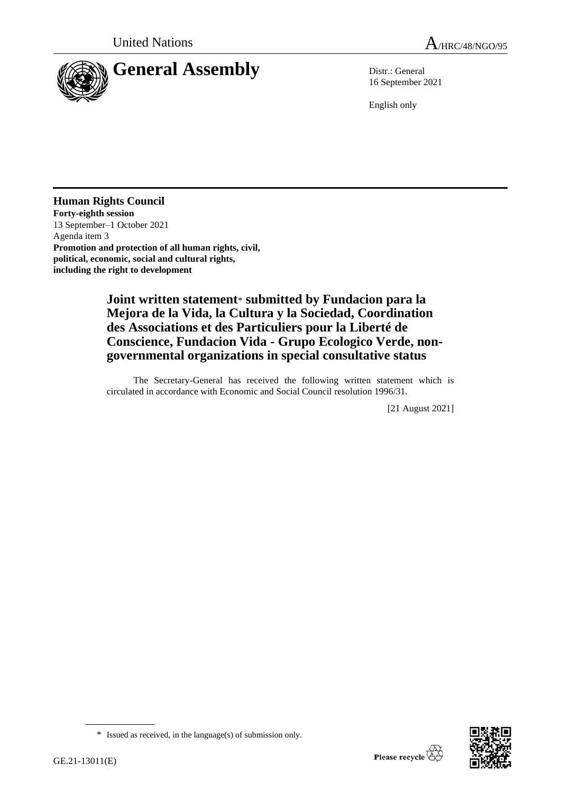

16 September 2021

English only

## **Human Rights Council**

**Forty-eighth session** 13 September–1 October 2021 Agenda item 3 **Promotion and protection of all human rights, civil, political, economic, social and cultural rights, including the right to development**

## **Joint written statement**\* **submitted by Fundacion para la Mejora de la Vida, la Cultura y la Sociedad, Coordination des Associations et des Particuliers pour la Liberté de Conscience, Fundacion Vida - Grupo Ecologico Verde, nongovernmental organizations in special consultative status**

The Secretary-General has received the following written statement which is circulated in accordance with Economic and Social Council resolution 1996/31.

[21 August 2021]



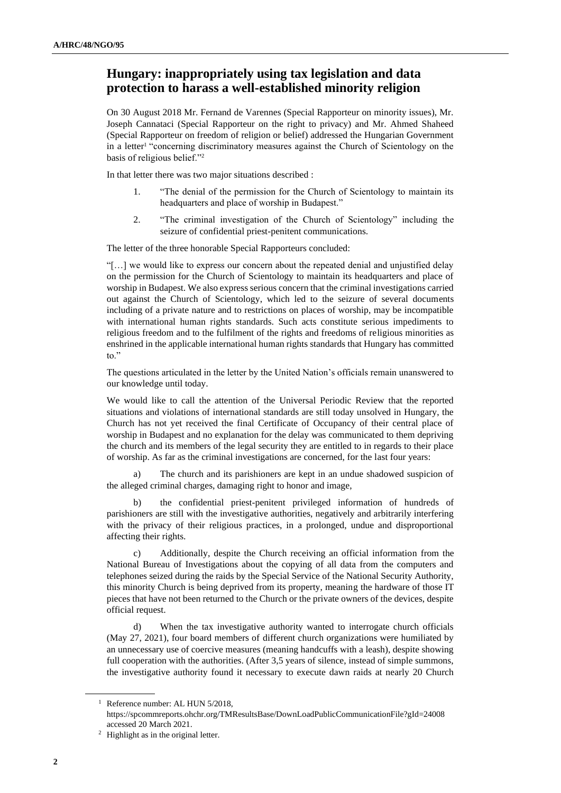## **Hungary: inappropriately using tax legislation and data protection to harass a well-established minority religion**

On 30 August 2018 Mr. Fernand de Varennes (Special Rapporteur on minority issues), Mr. Joseph Cannataci (Special Rapporteur on the right to privacy) and Mr. Ahmed Shaheed (Special Rapporteur on freedom of religion or belief) addressed the Hungarian Government in a letter<sup>1</sup> "concerning discriminatory measures against the Church of Scientology on the basis of religious belief."<sup>2</sup>

In that letter there was two major situations described :

- 1. "The denial of the permission for the Church of Scientology to maintain its headquarters and place of worship in Budapest."
- 2. "The criminal investigation of the Church of Scientology" including the seizure of confidential priest-penitent communications.

The letter of the three honorable Special Rapporteurs concluded:

"[…] we would like to express our concern about the repeated denial and unjustified delay on the permission for the Church of Scientology to maintain its headquarters and place of worship in Budapest. We also express serious concern that the criminal investigations carried out against the Church of Scientology, which led to the seizure of several documents including of a private nature and to restrictions on places of worship, may be incompatible with international human rights standards. Such acts constitute serious impediments to religious freedom and to the fulfilment of the rights and freedoms of religious minorities as enshrined in the applicable international human rights standards that Hungary has committed to."

The questions articulated in the letter by the United Nation's officials remain unanswered to our knowledge until today.

We would like to call the attention of the Universal Periodic Review that the reported situations and violations of international standards are still today unsolved in Hungary, the Church has not yet received the final Certificate of Occupancy of their central place of worship in Budapest and no explanation for the delay was communicated to them depriving the church and its members of the legal security they are entitled to in regards to their place of worship. As far as the criminal investigations are concerned, for the last four years:

a) The church and its parishioners are kept in an undue shadowed suspicion of the alleged criminal charges, damaging right to honor and image,

b) the confidential priest-penitent privileged information of hundreds of parishioners are still with the investigative authorities, negatively and arbitrarily interfering with the privacy of their religious practices, in a prolonged, undue and disproportional affecting their rights.

c) Additionally, despite the Church receiving an official information from the National Bureau of Investigations about the copying of all data from the computers and telephones seized during the raids by the Special Service of the National Security Authority, this minority Church is being deprived from its property, meaning the hardware of those IT pieces that have not been returned to the Church or the private owners of the devices, despite official request.

d) When the tax investigative authority wanted to interrogate church officials (May 27, 2021), four board members of different church organizations were humiliated by an unnecessary use of coercive measures (meaning handcuffs with a leash), despite showing full cooperation with the authorities. (After 3,5 years of silence, instead of simple summons, the investigative authority found it necessary to execute dawn raids at nearly 20 Church

<sup>&</sup>lt;sup>1</sup> Reference number: AL HUN 5/2018, https://spcommreports.ohchr.org/TMResultsBase/DownLoadPublicCommunicationFile?gId=24008 accessed 20 March 2021.

<sup>2</sup> Highlight as in the original letter.